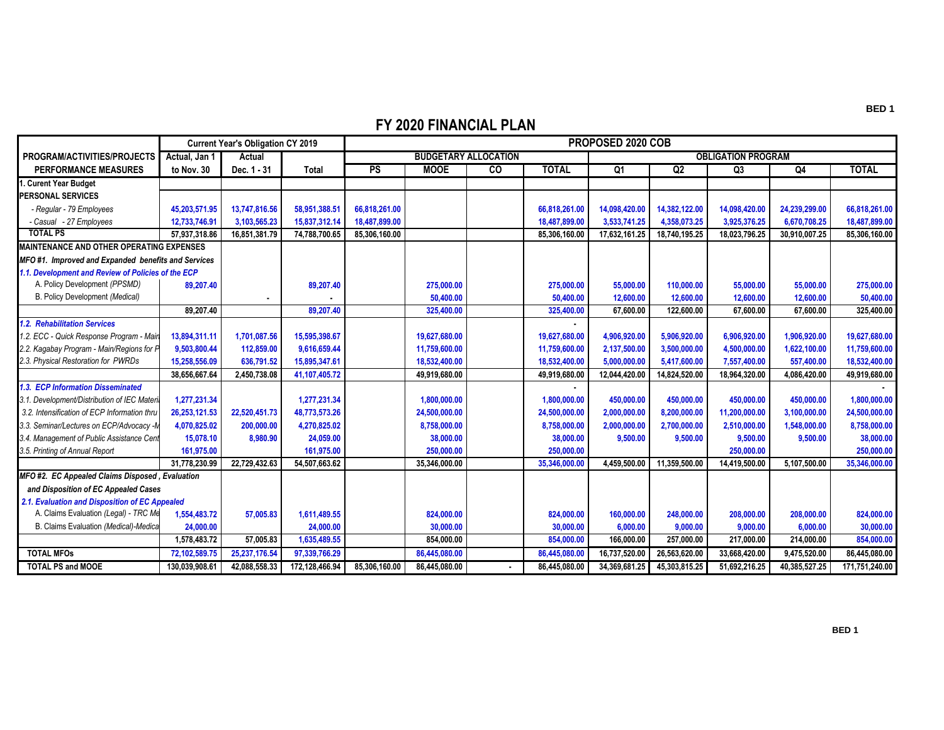## **FY 2020 FINANCIAL PLAN**

|                                                     | <b>Current Year's Obligation CY 2019</b> |               |                | PROPOSED 2020 COB           |               |           |               |                           |               |                |               |                |  |
|-----------------------------------------------------|------------------------------------------|---------------|----------------|-----------------------------|---------------|-----------|---------------|---------------------------|---------------|----------------|---------------|----------------|--|
| PROGRAM/ACTIVITIES/PROJECTS                         | Actual, Jan 1                            | Actual        |                | <b>BUDGETARY ALLOCATION</b> |               |           |               | <b>OBLIGATION PROGRAM</b> |               |                |               |                |  |
| <b>PERFORMANCE MEASURES</b>                         | to Nov. 30                               | Dec. 1 - 31   | <b>Total</b>   | <b>PS</b>                   | <b>MOOE</b>   | <b>CO</b> | <b>TOTAL</b>  | Q <sub>1</sub>            | Q2            | Q <sub>3</sub> | Q4            | <b>TOTAL</b>   |  |
| . Curent Year Budget                                |                                          |               |                |                             |               |           |               |                           |               |                |               |                |  |
| <b>PERSONAL SERVICES</b>                            |                                          |               |                |                             |               |           |               |                           |               |                |               |                |  |
| - Regular - 79 Employees                            | 45,203,571.95                            | 13,747,816.56 | 58,951,388.51  | 66,818,261.00               |               |           | 66,818,261.00 | 14,098,420.00             | 14,382,122.00 | 14,098,420.00  | 24,239,299.00 | 66,818,261.00  |  |
| - Casual - 27 Employees                             | 12,733,746.91                            | 3,103,565.23  | 15,837,312.14  | 18,487,899,00               |               |           | 18.487.899.00 | 3,533,741.25              | 4,358,073.25  | 3,925,376.25   | 6,670,708.25  | 18,487,899.00  |  |
| <b>TOTAL PS</b>                                     | 57,937,318.86                            | 16,851,381.79 | 74,788,700.65  | 85,306,160.00               |               |           | 85,306,160.00 | 17,632,161.25             | 18,740,195.25 | 18,023,796.25  | 30,910,007.25 | 85,306,160.00  |  |
| <b>MAINTENANCE AND OTHER OPERATING EXPENSES</b>     |                                          |               |                |                             |               |           |               |                           |               |                |               |                |  |
| MFO #1. Improved and Expanded benefits and Services |                                          |               |                |                             |               |           |               |                           |               |                |               |                |  |
| 1.1. Development and Review of Policies of the ECP  |                                          |               |                |                             |               |           |               |                           |               |                |               |                |  |
| A. Policy Development (PPSMD)                       | 89.207.40                                |               | 89.207.40      |                             | 275,000.00    |           | 275,000,00    | 55,000.00                 | 110,000,00    | 55,000.00      | 55,000.00     | 275,000.00     |  |
| B. Policy Development (Medical)                     |                                          |               |                |                             | 50,400.00     |           | 50,400.00     | 12,600.00                 | 12,600.00     | 12,600.00      | 12,600.00     | 50,400.00      |  |
|                                                     | 89.207.40                                |               | 89.207.40      |                             | 325,400.00    |           | 325,400.00    | 67.600.00                 | 122.600.00    | 67,600.00      | 67.600.00     | 325,400.00     |  |
| 1.2. Rehabilitation Services                        |                                          |               |                |                             |               |           |               |                           |               |                |               |                |  |
| 1.2. ECC - Quick Response Program - Mair            | 13,894,311.11                            | 1,701,087.56  | 15,595,398.67  |                             | 19,627,680.00 |           | 19,627,680.00 | 4,906,920.00              | 5,906,920.00  | 6,906,920.00   | 1,906,920.00  | 19,627,680.00  |  |
| 2.2. Kagabay Program - Main/Regions for P           | 9,503,800.44                             | 112,859.00    | 9,616,659.44   |                             | 11,759,600.00 |           | 11,759,600.00 | 2,137,500.00              | 3,500,000.00  | 4,500,000.00   | 1,622,100.00  | 11,759,600.00  |  |
| 2.3. Physical Restoration for PWRDs                 | 15,258,556.09                            | 636,791.52    | 15,895,347.61  |                             | 18,532,400.00 |           | 18,532,400.00 | 5,000,000.00              | 5,417,600.00  | 7,557,400.00   | 557,400.00    | 18,532,400.00  |  |
|                                                     | 38,656,667.64                            | 2,450,738.08  | 41,107,405.72  |                             | 49,919,680.00 |           | 49,919,680.00 | 12,044,420.00             | 14,824,520.00 | 18,964,320.00  | 4.086.420.00  | 49,919,680.00  |  |
| 1.3. ECP Information Disseminated                   |                                          |               |                |                             |               |           |               |                           |               |                |               |                |  |
| 3.1. Development/Distribution of IEC Materia        | 1,277,231.34                             |               | 1,277,231.34   |                             | 1,800,000.00  |           | 1,800,000.00  | 450,000.00                | 450,000.00    | 450,000.00     | 450,000.00    | 1,800,000.00   |  |
| 3.2. Intensification of ECP Information thru        | 26,253,121.53                            | 22,520,451.73 | 48,773,573.26  |                             | 24,500,000.00 |           | 24,500,000.00 | 2,000,000.00              | 8,200,000.00  | 11,200,000.00  | 3,100,000.00  | 24,500,000.00  |  |
| 3.3. Seminar/Lectures on ECP/Advocacy -N            | 4,070,825.02                             | 200,000,00    | 4,270,825.02   |                             | 8,758,000.00  |           | 8,758,000.00  | 2.000.000.00              | 2.700.000.00  | 2,510,000.00   | 1,548,000.00  | 8,758,000.00   |  |
| 3.4. Management of Public Assistance Cent           | 15,078.10                                | 8,980.90      | 24,059.00      |                             | 38,000.00     |           | 38,000.00     | 9.500.00                  | 9,500.00      | 9.500.00       | 9,500.00      | 38,000.00      |  |
| 3.5. Printing of Annual Report                      | 161,975.00                               |               | 161,975.00     |                             | 250,000.00    |           | 250,000,00    |                           |               | 250,000.00     |               | 250,000.00     |  |
|                                                     | 31,778,230.99                            | 22,729,432.63 | 54,507,663.62  |                             | 35,346,000.00 |           | 35,346,000.00 | 4,459,500.00              | 11,359,500.00 | 14,419,500.00  | 5,107,500.00  | 35,346,000.00  |  |
| MFO #2. EC Appealed Claims Disposed, Evaluation     |                                          |               |                |                             |               |           |               |                           |               |                |               |                |  |
| and Disposition of EC Appealed Cases                |                                          |               |                |                             |               |           |               |                           |               |                |               |                |  |
| 2.1. Evaluation and Disposition of EC Appealed      |                                          |               |                |                             |               |           |               |                           |               |                |               |                |  |
| A. Claims Evaluation (Legal) - TRC Me               | 1,554,483.72                             | 57,005.83     | 1,611,489.55   |                             | 824,000.00    |           | 824,000.00    | 160,000.00                | 248,000.00    | 208,000.00     | 208,000.00    | 824,000.00     |  |
| B. Claims Evaluation (Medical)-Medica               | 24.000.00                                |               | 24.000.00      |                             | 30,000.00     |           | 30,000.00     | 6.000.00                  | 9,000.00      | 9.000.00       | 6,000.00      | 30,000.00      |  |
|                                                     | 1,578,483.72                             | 57.005.83     | 1,635,489.55   |                             | 854.000.00    |           | 854,000.00    | 166.000.00                | 257.000.00    | 217.000.00     | 214.000.00    | 854,000.00     |  |
| <b>TOTAL MFOs</b>                                   | 72,102,589.75                            | 25.237.176.54 | 97,339,766.29  |                             | 86,445,080.00 |           | 86,445,080.00 | 16,737,520.00             | 26,563,620.00 | 33,668,420.00  | 9,475,520.00  | 86.445.080.00  |  |
| <b>TOTAL PS and MOOE</b>                            | 130,039,908.61                           | 42.088.558.33 | 172,128,466.94 | 85.306.160.00               | 86,445,080.00 |           | 86.445.080.00 | 34,369,681.25             | 45,303,815.25 | 51,692,216.25  | 40,385,527.25 | 171,751,240.00 |  |

**BED 1**